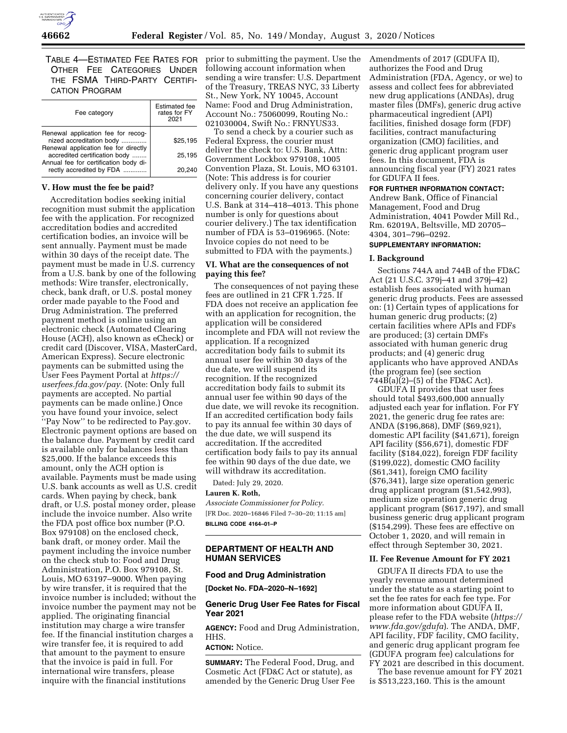

TABLE 4—ESTIMATED FEE RATES FOR OTHER FEE CATEGORIES UNDER THE FSMA THIRD-PARTY CERTIFI-CATION PROGRAM

| Fee category                                                                                                                               | <b>Estimated</b> fee<br>rates for FY<br>2021 |
|--------------------------------------------------------------------------------------------------------------------------------------------|----------------------------------------------|
| Renewal application fee for recog-<br>nized accreditation body                                                                             | \$25.195                                     |
| Renewal application fee for directly<br>accredited certification body<br>Annual fee for certification body di-<br>rectly accredited by FDA | 25.195                                       |
|                                                                                                                                            | 20,240                                       |

### **V. How must the fee be paid?**

Accreditation bodies seeking initial recognition must submit the application fee with the application. For recognized accreditation bodies and accredited certification bodies, an invoice will be sent annually. Payment must be made within 30 days of the receipt date. The payment must be made in U.S. currency from a U.S. bank by one of the following methods: Wire transfer, electronically, check, bank draft, or U.S. postal money order made payable to the Food and Drug Administration. The preferred payment method is online using an electronic check (Automated Clearing House (ACH), also known as eCheck) or credit card (Discover, VISA, MasterCard, American Express). Secure electronic payments can be submitted using the User Fees Payment Portal at *[https://](https://userfees.fda.gov/pay) [userfees.fda.gov/pay.](https://userfees.fda.gov/pay)* (Note: Only full payments are accepted. No partial payments can be made online.) Once you have found your invoice, select ''Pay Now'' to be redirected to Pay.gov. Electronic payment options are based on the balance due. Payment by credit card is available only for balances less than \$25,000. If the balance exceeds this amount, only the ACH option is available. Payments must be made using U.S. bank accounts as well as U.S. credit cards. When paying by check, bank draft, or U.S. postal money order, please include the invoice number. Also write the FDA post office box number (P.O. Box 979108) on the enclosed check, bank draft, or money order. Mail the payment including the invoice number on the check stub to: Food and Drug Administration, P.O. Box 979108, St. Louis, MO 63197–9000. When paying by wire transfer, it is required that the invoice number is included; without the invoice number the payment may not be applied. The originating financial institution may charge a wire transfer fee. If the financial institution charges a wire transfer fee, it is required to add that amount to the payment to ensure that the invoice is paid in full. For international wire transfers, please inquire with the financial institutions

prior to submitting the payment. Use the following account information when sending a wire transfer: U.S. Department of the Treasury, TREAS NYC, 33 Liberty St., New York, NY 10045, Account Name: Food and Drug Administration, Account No.: 75060099, Routing No.: 021030004, Swift No.: FRNYUS33.

To send a check by a courier such as Federal Express, the courier must deliver the check to: U.S. Bank, Attn: Government Lockbox 979108, 1005 Convention Plaza, St. Louis, MO 63101. (Note: This address is for courier delivery only. If you have any questions concerning courier delivery, contact U.S. Bank at 314–418–4013. This phone number is only for questions about courier delivery.) The tax identification number of FDA is 53–0196965. (Note: Invoice copies do not need to be submitted to FDA with the payments.)

### **VI. What are the consequences of not paying this fee?**

The consequences of not paying these fees are outlined in 21 CFR 1.725. If FDA does not receive an application fee with an application for recognition, the application will be considered incomplete and FDA will not review the application. If a recognized accreditation body fails to submit its annual user fee within 30 days of the due date, we will suspend its recognition. If the recognized accreditation body fails to submit its annual user fee within 90 days of the due date, we will revoke its recognition. If an accredited certification body fails to pay its annual fee within 30 days of the due date, we will suspend its accreditation. If the accredited certification body fails to pay its annual fee within 90 days of the due date, we will withdraw its accreditation.

Dated: July 29, 2020.

### **Lauren K. Roth,**

*Associate Commissioner for Policy.*  [FR Doc. 2020–16846 Filed 7–30–20; 11:15 am] **BILLING CODE 4164–01–P** 

## **DEPARTMENT OF HEALTH AND HUMAN SERVICES**

## **Food and Drug Administration**

**[Docket No. FDA–2020–N–1692]** 

### **Generic Drug User Fee Rates for Fiscal Year 2021**

**AGENCY:** Food and Drug Administration, HHS.

## **ACTION:** Notice.

**SUMMARY:** The Federal Food, Drug, and Cosmetic Act (FD&C Act or statute), as amended by the Generic Drug User Fee Amendments of 2017 (GDUFA II), authorizes the Food and Drug Administration (FDA, Agency, or we) to assess and collect fees for abbreviated new drug applications (ANDAs), drug master files (DMFs), generic drug active pharmaceutical ingredient (API) facilities, finished dosage form (FDF) facilities, contract manufacturing organization (CMO) facilities, and generic drug applicant program user fees. In this document, FDA is announcing fiscal year (FY) 2021 rates for GDUFA II fees.

**FOR FURTHER INFORMATION CONTACT:**  Andrew Bank, Office of Financial Management, Food and Drug Administration, 4041 Powder Mill Rd., Rm. 62019A, Beltsville, MD 20705– 4304, 301–796–0292.

# **SUPPLEMENTARY INFORMATION:**

### **I. Background**

Sections 744A and 744B of the FD&C Act (21 U.S.C. 379j–41 and 379j–42) establish fees associated with human generic drug products. Fees are assessed on: (1) Certain types of applications for human generic drug products; (2) certain facilities where APIs and FDFs are produced; (3) certain DMFs associated with human generic drug products; and (4) generic drug applicants who have approved ANDAs (the program fee) (see section  $744\overline{B}(a)\overline{(2)}$ –(5) of the FD&C Act).

GDUFA II provides that user fees should total \$493,600,000 annually adjusted each year for inflation. For FY 2021, the generic drug fee rates are: ANDA (\$196,868), DMF (\$69,921), domestic API facility (\$41,671), foreign API facility (\$56,671), domestic FDF facility (\$184,022), foreign FDF facility (\$199,022), domestic CMO facility (\$61,341), foreign CMO facility (\$76,341), large size operation generic drug applicant program (\$1,542,993), medium size operation generic drug applicant program (\$617,197), and small business generic drug applicant program (\$154,299). These fees are effective on October 1, 2020, and will remain in effect through September 30, 2021.

### **II. Fee Revenue Amount for FY 2021**

GDUFA II directs FDA to use the yearly revenue amount determined under the statute as a starting point to set the fee rates for each fee type. For more information about GDUFA II, please refer to the FDA website (*[https://](https://www.fda.gov/gdufa)  [www.fda.gov/gdufa](https://www.fda.gov/gdufa)*). The ANDA, DMF, API facility, FDF facility, CMO facility, and generic drug applicant program fee (GDUFA program fee) calculations for FY 2021 are described in this document.

The base revenue amount for FY 2021 is \$513,223,160. This is the amount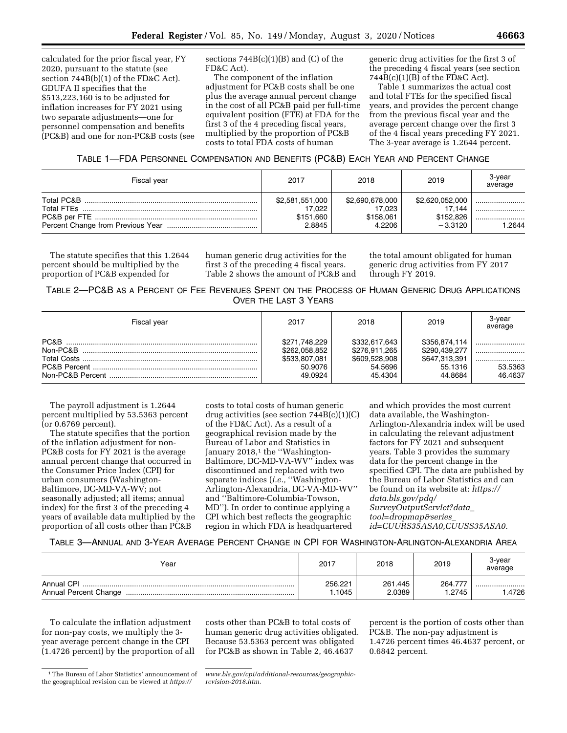calculated for the prior fiscal year, FY 2020, pursuant to the statute (see section 744B(b)(1) of the FD&C Act). GDUFA II specifies that the \$513,223,160 is to be adjusted for inflation increases for FY 2021 using two separate adjustments—one for personnel compensation and benefits (PC&B) and one for non-PC&B costs (see

sections  $744B(c)(1)(B)$  and  $(C)$  of the FD&C Act).

The component of the inflation adjustment for PC&B costs shall be one plus the average annual percent change in the cost of all PC&B paid per full-time equivalent position (FTE) at FDA for the first 3 of the 4 preceding fiscal years, multiplied by the proportion of PC&B costs to total FDA costs of human

generic drug activities for the first 3 of the preceding 4 fiscal years (see section 744B(c)(1)(B) of the FD&C Act).

Table 1 summarizes the actual cost and total FTEs for the specified fiscal years, and provides the percent change from the previous fiscal year and the average percent change over the first 3 of the 4 fiscal years preceding FY 2021. The 3-year average is 1.2644 percent.

## TABLE 1—FDA PERSONNEL COMPENSATION AND BENEFITS (PC&B) EACH YEAR AND PERCENT CHANGE

| Fiscal year | 2017            | 2018            | 2019            | 3-year<br>average |
|-------------|-----------------|-----------------|-----------------|-------------------|
| Total PC&B  | \$2,581,551,000 | \$2,690,678,000 | \$2,620,052,000 | .2644             |
| Total FTEs  | 17.022          | 17.023          | 17.144          |                   |
|             | \$151.660       | \$158.061       | \$152,826       |                   |
|             | 2.8845          | 4.2206          | $-3.3120$       |                   |

The statute specifies that this 1.2644 percent should be multiplied by the proportion of PC&B expended for

human generic drug activities for the first 3 of the preceding 4 fiscal years. Table 2 shows the amount of PC&B and the total amount obligated for human generic drug activities from FY 2017 through FY 2019.

# TABLE 2—PC&B AS A PERCENT OF FEE REVENUES SPENT ON THE PROCESS OF HUMAN GENERIC DRUG APPLICATIONS OVER THE LAST 3 YEARS

| Fiscal year | 2017                                                                  | 2018                                                                  | 2019                                                                  | 3-year<br>average      |
|-------------|-----------------------------------------------------------------------|-----------------------------------------------------------------------|-----------------------------------------------------------------------|------------------------|
| PC&B        | \$271,748,229<br>\$262,058,852<br>\$533,807,081<br>50.9076<br>49.0924 | \$332,617,643<br>\$276.911.265<br>\$609,528,908<br>54.5696<br>45.4304 | \$356,874,114<br>\$290,439,277<br>\$647,313,391<br>55.1316<br>44.8684 | <br>53.5363<br>46.4637 |

The payroll adjustment is 1.2644 percent multiplied by 53.5363 percent (or 0.6769 percent).

The statute specifies that the portion of the inflation adjustment for non-PC&B costs for FY 2021 is the average annual percent change that occurred in the Consumer Price Index (CPI) for urban consumers (Washington-Baltimore, DC-MD-VA-WV; not seasonally adjusted; all items; annual index) for the first 3 of the preceding 4 years of available data multiplied by the proportion of all costs other than PC&B

costs to total costs of human generic drug activities (see section 744B(c)(1)(C) of the FD&C Act). As a result of a geographical revision made by the Bureau of Labor and Statistics in January 2018,<sup>1</sup> the "Washington-Baltimore, DC-MD-VA-WV'' index was discontinued and replaced with two separate indices (*i.e.,* ''Washington-Arlington-Alexandria, DC-VA-MD-WV'' and ''Baltimore-Columbia-Towson, MD''). In order to continue applying a CPI which best reflects the geographic region in which FDA is headquartered

and which provides the most current data available, the Washington-Arlington-Alexandria index will be used in calculating the relevant adjustment factors for FY 2021 and subsequent years. Table 3 provides the summary data for the percent change in the specified CPI. The data are published by the Bureau of Labor Statistics and can be found on its website at: *[https://](https://data.bls.gov/pdq/SurveyOutputServlet?data_tool=dropmap&series_id=CUURS35ASA0,CUUSS35ASA0) [data.bls.gov/pdq/](https://data.bls.gov/pdq/SurveyOutputServlet?data_tool=dropmap&series_id=CUURS35ASA0,CUUSS35ASA0)  [SurveyOutputServlet?data](https://data.bls.gov/pdq/SurveyOutputServlet?data_tool=dropmap&series_id=CUURS35ASA0,CUUSS35ASA0)*\_ *[tool=dropmap&series](https://data.bls.gov/pdq/SurveyOutputServlet?data_tool=dropmap&series_id=CUURS35ASA0,CUUSS35ASA0)*\_ *[id=CUURS35ASA0,CUUSS35ASA0.](https://data.bls.gov/pdq/SurveyOutputServlet?data_tool=dropmap&series_id=CUURS35ASA0,CUUSS35ASA0)* 

## TABLE 3—ANNUAL AND 3-YEAR AVERAGE PERCENT CHANGE IN CPI FOR WASHINGTON-ARLINGTON-ALEXANDRIA AREA

| Year       | 2017             | 2018              | 2019             | 3-year<br>average |
|------------|------------------|-------------------|------------------|-------------------|
| Annual CPI | 256.221<br>.1045 | 261.445<br>2.0389 | 264.777<br>.2745 | <br>.4726         |

To calculate the inflation adjustment for non-pay costs, we multiply the 3 year average percent change in the CPI (1.4726 percent) by the proportion of all costs other than PC&B to total costs of human generic drug activities obligated. Because 53.5363 percent was obligated for PC&B as shown in Table 2, 46.4637

percent is the portion of costs other than PC&B. The non-pay adjustment is 1.4726 percent times 46.4637 percent, or 0.6842 percent.

<sup>1</sup>The Bureau of Labor Statistics' announcement of the geographical revision can be viewed at *[https://](https://www.bls.gov/cpi/additional-resources/geographic-revision-2018.htm)* 

*[www.bls.gov/cpi/additional-resources/geographic](https://www.bls.gov/cpi/additional-resources/geographic-revision-2018.htm)[revision-2018.htm.](https://www.bls.gov/cpi/additional-resources/geographic-revision-2018.htm)*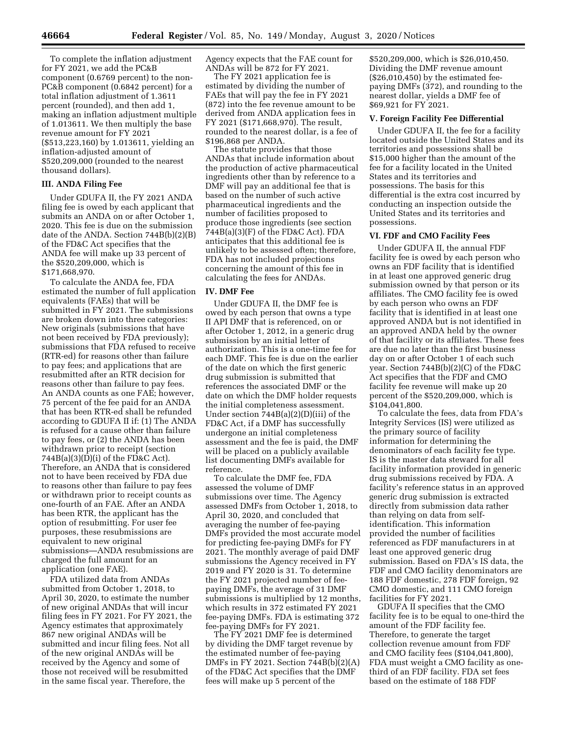To complete the inflation adjustment for FY 2021, we add the PC&B component (0.6769 percent) to the non-PC&B component (0.6842 percent) for a total inflation adjustment of 1.3611 percent (rounded), and then add 1, making an inflation adjustment multiple of 1.013611. We then multiply the base revenue amount for FY 2021 (\$513,223,160) by 1.013611, yielding an inflation-adjusted amount of \$520,209,000 (rounded to the nearest thousand dollars).

## **III. ANDA Filing Fee**

Under GDUFA II, the FY 2021 ANDA filing fee is owed by each applicant that submits an ANDA on or after October 1, 2020. This fee is due on the submission date of the ANDA. Section 744B(b)(2)(B) of the FD&C Act specifies that the ANDA fee will make up 33 percent of the \$520,209,000, which is \$171,668,970.

To calculate the ANDA fee, FDA estimated the number of full application equivalents (FAEs) that will be submitted in FY 2021. The submissions are broken down into three categories: New originals (submissions that have not been received by FDA previously); submissions that FDA refused to receive (RTR-ed) for reasons other than failure to pay fees; and applications that are resubmitted after an RTR decision for reasons other than failure to pay fees. An ANDA counts as one FAE; however, 75 percent of the fee paid for an ANDA that has been RTR-ed shall be refunded according to GDUFA II if: (1) The ANDA is refused for a cause other than failure to pay fees, or (2) the ANDA has been withdrawn prior to receipt (section 744B(a)(3)(D)(i) of the FD&C Act). Therefore, an ANDA that is considered not to have been received by FDA due to reasons other than failure to pay fees or withdrawn prior to receipt counts as one-fourth of an FAE. After an ANDA has been RTR, the applicant has the option of resubmitting. For user fee purposes, these resubmissions are equivalent to new original submissions—ANDA resubmissions are charged the full amount for an application (one FAE).

FDA utilized data from ANDAs submitted from October 1, 2018, to April 30, 2020, to estimate the number of new original ANDAs that will incur filing fees in FY 2021. For FY 2021, the Agency estimates that approximately 867 new original ANDAs will be submitted and incur filing fees. Not all of the new original ANDAs will be received by the Agency and some of those not received will be resubmitted in the same fiscal year. Therefore, the

Agency expects that the FAE count for ANDAs will be 872 for FY 2021.

The FY 2021 application fee is estimated by dividing the number of FAEs that will pay the fee in FY 2021 (872) into the fee revenue amount to be derived from ANDA application fees in FY 2021 (\$171,668,970). The result, rounded to the nearest dollar, is a fee of \$196,868 per ANDA.

The statute provides that those ANDAs that include information about the production of active pharmaceutical ingredients other than by reference to a DMF will pay an additional fee that is based on the number of such active pharmaceutical ingredients and the number of facilities proposed to produce those ingredients (see section  $744B(a)(3)(F)$  of the FD&C Act). FDA anticipates that this additional fee is unlikely to be assessed often; therefore, FDA has not included projections concerning the amount of this fee in calculating the fees for ANDAs.

## **IV. DMF Fee**

Under GDUFA II, the DMF fee is owed by each person that owns a type II API DMF that is referenced, on or after October 1, 2012, in a generic drug submission by an initial letter of authorization. This is a one-time fee for each DMF. This fee is due on the earlier of the date on which the first generic drug submission is submitted that references the associated DMF or the date on which the DMF holder requests the initial completeness assessment. Under section 744B(a)(2)(D)(iii) of the FD&C Act, if a DMF has successfully undergone an initial completeness assessment and the fee is paid, the DMF will be placed on a publicly available list documenting DMFs available for reference.

To calculate the DMF fee, FDA assessed the volume of DMF submissions over time. The Agency assessed DMFs from October 1, 2018, to April 30, 2020, and concluded that averaging the number of fee-paying DMFs provided the most accurate model for predicting fee-paying DMFs for FY 2021. The monthly average of paid DMF submissions the Agency received in FY 2019 and FY 2020 is 31. To determine the FY 2021 projected number of feepaying DMFs, the average of 31 DMF submissions is multiplied by 12 months, which results in 372 estimated FY 2021 fee-paying DMFs. FDA is estimating 372 fee-paying DMFs for FY 2021.

The FY 2021 DMF fee is determined by dividing the DMF target revenue by the estimated number of fee-paying DMFs in FY 2021. Section 744B(b)(2)(A) of the FD&C Act specifies that the DMF fees will make up 5 percent of the

\$520,209,000, which is \$26,010,450. Dividing the DMF revenue amount (\$26,010,450) by the estimated feepaying DMFs (372), and rounding to the nearest dollar, yields a DMF fee of \$69,921 for FY 2021.

#### **V. Foreign Facility Fee Differential**

Under GDUFA II, the fee for a facility located outside the United States and its territories and possessions shall be \$15,000 higher than the amount of the fee for a facility located in the United States and its territories and possessions. The basis for this differential is the extra cost incurred by conducting an inspection outside the United States and its territories and possessions.

#### **VI. FDF and CMO Facility Fees**

Under GDUFA II, the annual FDF facility fee is owed by each person who owns an FDF facility that is identified in at least one approved generic drug submission owned by that person or its affiliates. The CMO facility fee is owed by each person who owns an FDF facility that is identified in at least one approved ANDA but is not identified in an approved ANDA held by the owner of that facility or its affiliates. These fees are due no later than the first business day on or after October 1 of each such year. Section 744B(b)(2)(C) of the FD&C Act specifies that the FDF and CMO facility fee revenue will make up 20 percent of the \$520,209,000, which is \$104,041,800.

To calculate the fees, data from FDA's Integrity Services (IS) were utilized as the primary source of facility information for determining the denominators of each facility fee type. IS is the master data steward for all facility information provided in generic drug submissions received by FDA. A facility's reference status in an approved generic drug submission is extracted directly from submission data rather than relying on data from selfidentification. This information provided the number of facilities referenced as FDF manufacturers in at least one approved generic drug submission. Based on FDA's IS data, the FDF and CMO facility denominators are 188 FDF domestic, 278 FDF foreign, 92 CMO domestic, and 111 CMO foreign facilities for FY 2021.

GDUFA II specifies that the CMO facility fee is to be equal to one-third the amount of the FDF facility fee. Therefore, to generate the target collection revenue amount from FDF and CMO facility fees (\$104,041,800), FDA must weight a CMO facility as onethird of an FDF facility. FDA set fees based on the estimate of 188 FDF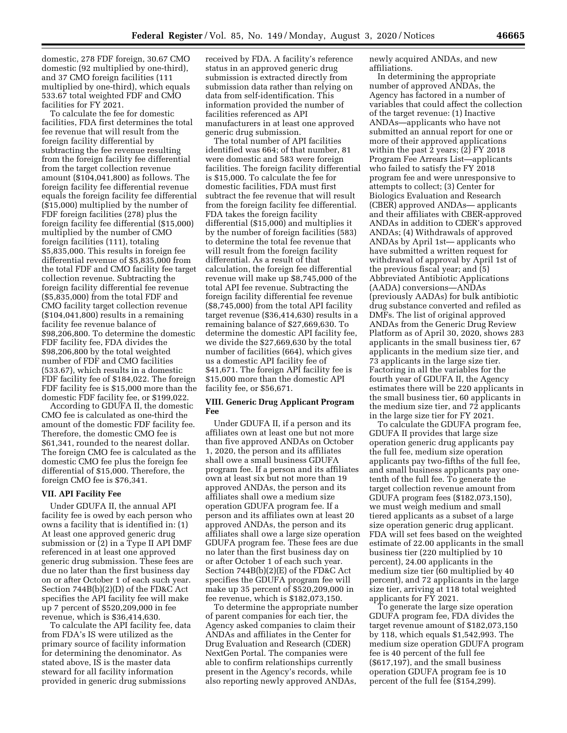domestic, 278 FDF foreign, 30.67 CMO domestic (92 multiplied by one-third), and 37 CMO foreign facilities (111 multiplied by one-third), which equals 533.67 total weighted FDF and CMO facilities for FY 2021.

To calculate the fee for domestic facilities, FDA first determines the total fee revenue that will result from the foreign facility differential by subtracting the fee revenue resulting from the foreign facility fee differential from the target collection revenue amount (\$104,041,800) as follows. The foreign facility fee differential revenue equals the foreign facility fee differential (\$15,000) multiplied by the number of FDF foreign facilities (278) plus the foreign facility fee differential (\$15,000) multiplied by the number of CMO foreign facilities (111), totaling \$5,835,000. This results in foreign fee differential revenue of \$5,835,000 from the total FDF and CMO facility fee target collection revenue. Subtracting the foreign facility differential fee revenue (\$5,835,000) from the total FDF and CMO facility target collection revenue (\$104,041,800) results in a remaining facility fee revenue balance of \$98,206,800. To determine the domestic FDF facility fee, FDA divides the \$98,206,800 by the total weighted number of FDF and CMO facilities (533.67), which results in a domestic FDF facility fee of \$184,022. The foreign FDF facility fee is \$15,000 more than the domestic FDF facility fee, or \$199,022.

According to GDUFA II, the domestic CMO fee is calculated as one-third the amount of the domestic FDF facility fee. Therefore, the domestic CMO fee is \$61,341, rounded to the nearest dollar. The foreign CMO fee is calculated as the domestic CMO fee plus the foreign fee differential of \$15,000. Therefore, the foreign CMO fee is \$76,341.

### **VII. API Facility Fee**

Under GDUFA II, the annual API facility fee is owed by each person who owns a facility that is identified in: (1) At least one approved generic drug submission or (2) in a Type II API DMF referenced in at least one approved generic drug submission. These fees are due no later than the first business day on or after October 1 of each such year. Section 744B(b)(2)(D) of the FD&C Act specifies the API facility fee will make up 7 percent of \$520,209,000 in fee revenue, which is \$36,414,630.

To calculate the API facility fee, data from FDA's IS were utilized as the primary source of facility information for determining the denominator. As stated above, IS is the master data steward for all facility information provided in generic drug submissions

received by FDA. A facility's reference status in an approved generic drug submission is extracted directly from submission data rather than relying on data from self-identification. This information provided the number of facilities referenced as API manufacturers in at least one approved generic drug submission.

The total number of API facilities identified was 664; of that number, 81 were domestic and 583 were foreign facilities. The foreign facility differential is \$15,000. To calculate the fee for domestic facilities, FDA must first subtract the fee revenue that will result from the foreign facility fee differential. FDA takes the foreign facility differential (\$15,000) and multiplies it by the number of foreign facilities (583) to determine the total fee revenue that will result from the foreign facility differential. As a result of that calculation, the foreign fee differential revenue will make up \$8,745,000 of the total API fee revenue. Subtracting the foreign facility differential fee revenue (\$8,745,000) from the total API facility target revenue (\$36,414,630) results in a remaining balance of \$27,669,630. To determine the domestic API facility fee, we divide the \$27,669,630 by the total number of facilities (664), which gives us a domestic API facility fee of \$41,671. The foreign API facility fee is \$15,000 more than the domestic API facility fee, or \$56,671.

### **VIII. Generic Drug Applicant Program Fee**

Under GDUFA II, if a person and its affiliates own at least one but not more than five approved ANDAs on October 1, 2020, the person and its affiliates shall owe a small business GDUFA program fee. If a person and its affiliates own at least six but not more than 19 approved ANDAs, the person and its affiliates shall owe a medium size operation GDUFA program fee. If a person and its affiliates own at least 20 approved ANDAs, the person and its affiliates shall owe a large size operation GDUFA program fee. These fees are due no later than the first business day on or after October 1 of each such year. Section 744B(b)(2)(E) of the FD&C Act specifies the GDUFA program fee will make up 35 percent of \$520,209,000 in fee revenue, which is \$182,073,150.

To determine the appropriate number of parent companies for each tier, the Agency asked companies to claim their ANDAs and affiliates in the Center for Drug Evaluation and Research (CDER) NextGen Portal. The companies were able to confirm relationships currently present in the Agency's records, while also reporting newly approved ANDAs,

newly acquired ANDAs, and new affiliations.

In determining the appropriate number of approved ANDAs, the Agency has factored in a number of variables that could affect the collection of the target revenue: (1) Inactive ANDAs—applicants who have not submitted an annual report for one or more of their approved applications within the past 2 years; (2) FY 2018 Program Fee Arrears List—applicants who failed to satisfy the FY 2018 program fee and were unresponsive to attempts to collect; (3) Center for Biologics Evaluation and Research (CBER) approved ANDAs— applicants and their affiliates with CBER-approved ANDAs in addition to CDER's approved ANDAs; (4) Withdrawals of approved ANDAs by April 1st— applicants who have submitted a written request for withdrawal of approval by April 1st of the previous fiscal year; and (5) Abbreviated Antibiotic Applications (AADA) conversions—ANDAs (previously AADAs) for bulk antibiotic drug substance converted and refiled as DMFs. The list of original approved ANDAs from the Generic Drug Review Platform as of April 30, 2020, shows 283 applicants in the small business tier, 67 applicants in the medium size tier, and 73 applicants in the large size tier. Factoring in all the variables for the fourth year of GDUFA II, the Agency estimates there will be 220 applicants in the small business tier, 60 applicants in the medium size tier, and 72 applicants in the large size tier for FY 2021.

To calculate the GDUFA program fee, GDUFA II provides that large size operation generic drug applicants pay the full fee, medium size operation applicants pay two-fifths of the full fee, and small business applicants pay onetenth of the full fee. To generate the target collection revenue amount from GDUFA program fees (\$182,073,150), we must weigh medium and small tiered applicants as a subset of a large size operation generic drug applicant. FDA will set fees based on the weighted estimate of 22.00 applicants in the small business tier (220 multiplied by 10 percent), 24.00 applicants in the medium size tier (60 multiplied by 40 percent), and 72 applicants in the large size tier, arriving at 118 total weighted applicants for FY 2021.

To generate the large size operation GDUFA program fee, FDA divides the target revenue amount of \$182,073,150 by 118, which equals \$1,542,993. The medium size operation GDUFA program fee is 40 percent of the full fee (\$617,197), and the small business operation GDUFA program fee is 10 percent of the full fee (\$154,299).